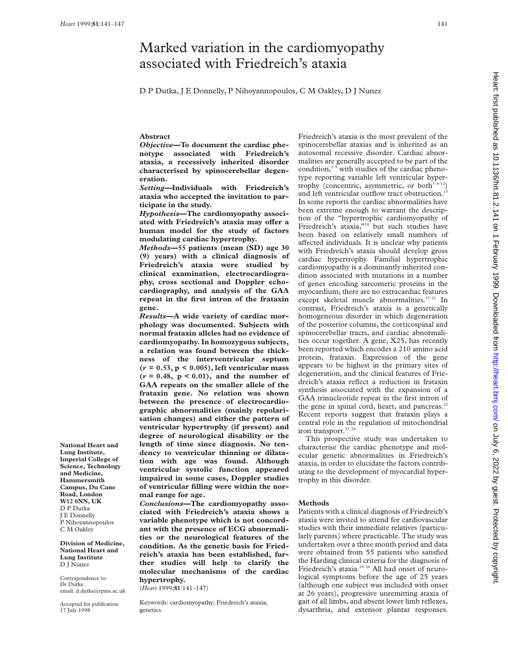# Marked variation in the cardiomyopathy associated with Friedreich's ataxia

D P Dutka, J E Donnelly, P Nihoyannopoulos, C M Oakley, D J Nunez

# **Abstract**

*Objective***—To document the cardiac phenotype associated with Friedreich's ataxia, a recessively inherited disorder characterised by spinocerebellar degeneration.**

*Setting***—Individuals with Friedreich's ataxia who accepted the invitation to participate in the study.**

*Hypothesis***—The cardiomyopathy associ**ated with Friedreich's ataxia may offer a **human model for the study of factors modulating cardiac hypertrophy.**

*Methods***—55 patients (mean (SD) age 30 (9) years) with a clinical diagnosis of Friedreich's ataxia were studied by clinical examination, electrocardiography, cross sectional and Doppler echocardiography, and analysis of the GAA repeat in the first intron of the frataxin gene.**

*Results***—A wide variety of cardiac morphology was documented. Subjects with normal frataxin alleles had no evidence of cardiomyopathy. In homozygous subjects, a relation was found between the thickness of the interventricular septum (***r* **= 0.53, p < 0.005), left ventricular mass**  $(r = 0.48, p < 0.01)$ , and the number of **GAA repeats on the smaller allele of the frataxin gene. No relation was shown between the presence of electrocardiographic abnormalities (mainly repolarisation changes) and either the pattern of ventricular hypertrophy (if present) and degree of neurological disability or the length of time since diagnosis. No tendency to ventricular thinning or dilatation with age was found. Although ventricular systolic function appeared impaired in some cases, Doppler studies of ventricular filling were within the normal range for age.**

*Conclusions***—The cardiomyopathy associated with Friedreich's ataxia shows a variable phenotype which is not concordant with the presence of ECG abnormalities or the neurological features of the condition. As the genetic basis for Friedreich's ataxia has been established, further studies will help to clarify the molecular mechanisms of the cardiac hypertrophy.**

(*Heart* 1999;**81**:141–147)

Keywords: cardiomyopathy; Friedreich's ataxia; genetics

Friedreich's ataxia is the most prevalent of the spinocerebellar ataxias and is inherited as an autosomal recessive disorder. Cardiac abnormalities are generally accepted to be part of the condition,<sup>1-5</sup> with studies of the cardiac phenotype reporting variable left ventricular hypertrophy (concentric, asymmetric, or both $3.6-12$ ) and left ventricular outflow tract obstruction.<sup>13</sup> In some reports the cardiac abnormalities have been extreme enough to warrant the description of the "hypertrophic cardiomyopathy of Friedreich's ataxia,"<sup>14</sup> but such studies have been based on relatively small numbers of affected individuals. It is unclear why patients with Friedreich's ataxia should develop gross cardiac hypertrophy. Familial hypertrophic cardiomyopathy is a dominantly inherited condition associated with mutations in a number of genes encoding sarcomeric proteins in the myocardium; there are no extracardiac features except skeletal muscle abnormalities.<sup>15-21</sup> In contrast, Friedreich's ataxia is a genetically homogeneous disorder in which degeneration of the posterior columns, the corticospinal and spinocerebellar tracts, and cardiac abnormalities occur together. A gene, X25, has recently been reported which encodes a 210 amino acid protein, frataxin. Expression of the gene appears to be highest in the primary sites of degeneration, and the clinical features of Friedreich's ataxia reflect a reduction in frataxin synthesis associated with the expansion of a GAA trinucleotide repeat in the first intron of the gene in spinal cord, heart, and pancreas.<sup>22</sup> Recent reports suggest that frataxin plays a central role in the regulation of mitochondrial iron transport.<sup>23</sup> <sup>24</sup>

This prospective study was undertaken to characterise the cardiac phenotype and molecular genetic abnormalities in Friedreich's ataxia, in order to elucidate the factors contributing to the development of myocardial hypertrophy in this disorder.

#### **Methods**

Patients with a clinical diagnosis of Friedreich's ataxia were invited to attend for cardiovascular studies with their immediate relatives (particularly parents) where practicable. The study was undertaken over a three month period and data were obtained from 55 patients who satisfied the Harding clinical criteria for the diagnosis of Friedreich's ataxia.<sup>25</sup> <sup>26</sup> All had onset of neurological symptoms before the age of 25 years (although one subject was included with onset at 26 years), progressive unremitting ataxia of gait of all limbs, and absent lower limb reflexes, dysarthria, and extensor plantar responses.

**National Heart and Lung Institute, Imperial College of Science, Technology and Medicine, Hammersmith Campus, Du Cane Road, London W12 0NN, UK** D P Dutka J E Donnelly P Nihoyannopoulos C M Oakley

**Division of Medicine, National Heart and Lung Institute** D J Nunez

Correspondence to: Dr Dutka. email: d.dutka@rpms.ac.uk

Accepted for publication 17 July 1998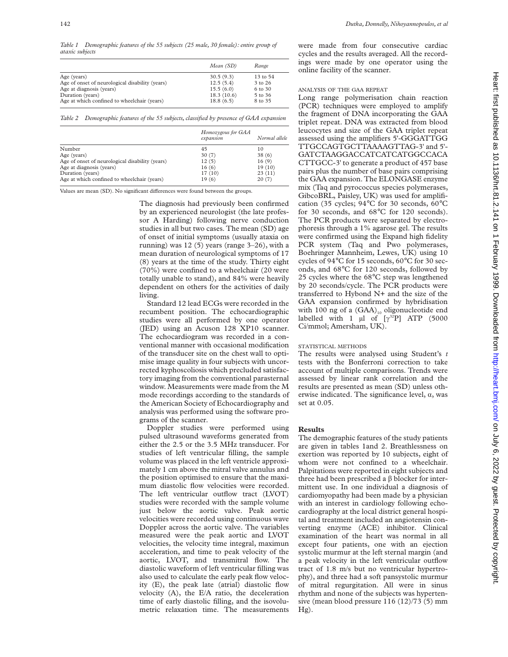*Table 1 Demographic features of the 55 subjects (25 male, 30 female): entire group of ataxic subjects*

|                                                 | Mean (SD)  | Range    |
|-------------------------------------------------|------------|----------|
| Age (years)                                     | 30.5(9.3)  | 13 to 54 |
| Age of onset of neurological disability (years) | 12.5(5.4)  | 3 to 26  |
| Age at diagnosis (years)                        | 15.5(6.0)  | 6 to 30  |
| Duration (years)                                | 18.3(10.6) | 5 to 36  |
| Age at which confined to wheelchair (years)     | 18.8(6.5)  | 8 to 35  |

*Table 2 Demographic features of the 55 subjects, classified by presence of GAA expansion*

|                                                 | Homozygous for GAA<br>expansion | Normal allele |
|-------------------------------------------------|---------------------------------|---------------|
| Number                                          | 45                              | 10            |
| Age (years)                                     | 30(7)                           | 38(6)         |
| Age of onset of neurological disability (years) | 12(5)                           | 16(9)         |
| Age at diagnosis (years)                        | 16(6)                           | 19(10)        |
| Duration (years)                                | 17(10)                          | 23(11)        |
| Age at which confined to wheelchair (years)     | 19(6)                           | 20(7)         |

Values are mean (SD). No significant differences were found between the groups.

The diagnosis had previously been confirmed by an experienced neurologist (the late professor A Harding) following nerve conduction studies in all but two cases. The mean (SD) age of onset of initial symptoms (usually ataxia on running) was 12 (5) years (range 3–26), with a mean duration of neurological symptoms of 17 (8) years at the time of the study. Thirty eight (70%) were confined to a wheelchair (20 were totally unable to stand), and 84% were heavily dependent on others for the activities of daily living.

Standard 12 lead ECGs were recorded in the recumbent position. The echocardiographic studies were all performed by one operator (JED) using an Acuson 128 XP10 scanner. The echocardiogram was recorded in a conventional manner with occasional modification of the transducer site on the chest wall to optimise image quality in four subjects with uncorrected kyphoscoliosis which precluded satisfactory imaging from the conventional parasternal window. Measurements were made from the M mode recordings according to the standards of the American Society of Echocardiography and analysis was performed using the software programs of the scanner.

Doppler studies were performed using pulsed ultrasound waveforms generated from either the 2.5 or the 3.5 MHz transducer. For studies of left ventricular filling, the sample volume was placed in the left ventricle approximately 1 cm above the mitral valve annulus and the position optimised to ensure that the maximum diastolic flow velocities were recorded. The left ventricular outflow tract (LVOT) studies were recorded with the sample volume just below the aortic valve. Peak aortic velocities were recorded using continuous wave Doppler across the aortic valve. The variables measured were the peak aortic and LVOT velocities, the velocity time integral, maximun acceleration, and time to peak velocity of the aortic, LVOT, and transmitral flow. The diastolic waveform of left ventricular filling was also used to calculate the early peak flow velocity (E), the peak late (atrial) diastolic flow velocity (A), the E/A ratio, the deceleration time of early diastolic filling, and the isovolumetric relaxation time. The measurements

were made from four consecutive cardiac cycles and the results averaged. All the recordings were made by one operator using the online facility of the scanner.

# ANALYSIS OF THE GAA REPEAT

Long range polymerisation chain reaction (PCR) techniques were employed to amplify the fragment of DNA incorporating the GAA triplet repeat. DNA was extracted from blood leucocytes and size of the GAA triplet repeat assessed using the amplifiers 5'-GGGATTGG TTGCCAGTGCTTAAAAGTTAG-3' and 5'- GATCTAAGGACCATCATCATGGCCACA CTTGCC-3' to generate a product of 457 base pairs plus the number of base pairs comprising the GAA expansion. The ELONGASE enzyme mix (Taq and pyrococcus species polymerases, GibcoBRL, Paisley, UK) was used for amplification (35 cycles; 94°C for 30 seconds, 60°C for 30 seconds, and 68°C for 120 seconds). The PCR products were separated by electrophoresis through a 1% agarose gel. The results were confirmed using the Expand high fidelity PCR system (Taq and Pwo polymerases, Boehringer Mannheim, Lewes, UK) using 10 cycles of 94°C for 15 seconds, 60°C for 30 seconds, and 68°C for 120 seconds, followed by 25 cycles where the 68°C step was lengthened by 20 seconds/cycle. The PCR products were transferred to Hybond N+ and the size of the GAA expansion confirmed by hybridisation with 100 ng of a  $(GAA)_{10}$  oligonucleotide end labelled with 1  $\mu$ l of  $[\gamma^{32}P]$  ATP (5000 Ci/mmol; Amersham, UK).

# STATISTICAL METHODS

The results were analysed using Student's *t* tests with the Bonferroni correction to take account of multiple comparisons. Trends were assessed by linear rank correlation and the results are presented as mean (SD) unless otherwise indicated. The significance level,  $\alpha$ , was set at 0.05.

# **Results**

The demographic features of the study patients are given in tables 1and 2. Breathlessness on exertion was reported by 10 subjects, eight of whom were not confined to a wheelchair. Palpitations were reported in eight subjects and three had been prescribed a  $\beta$  blocker for intermittent use. In one individual a diagnosis of cardiomyopathy had been made by a physician with an interest in cardiology following echocardiography at the local district general hospital and treatment included an angiotensin converting enzyme (ACE) inhibitor. Clinical examination of the heart was normal in all except four patients, one with an ejection systolic murmur at the left sternal margin (and a peak velocity in the left ventricular outflow tract of 1.8 m/s but no ventricular hypertrophy), and three had a soft pansystolic murmur of mitral regurgitation. All were in sinus rhythm and none of the subjects was hypertensive (mean blood pressure 116 (12)/73 (5) mm  $Hg$ ).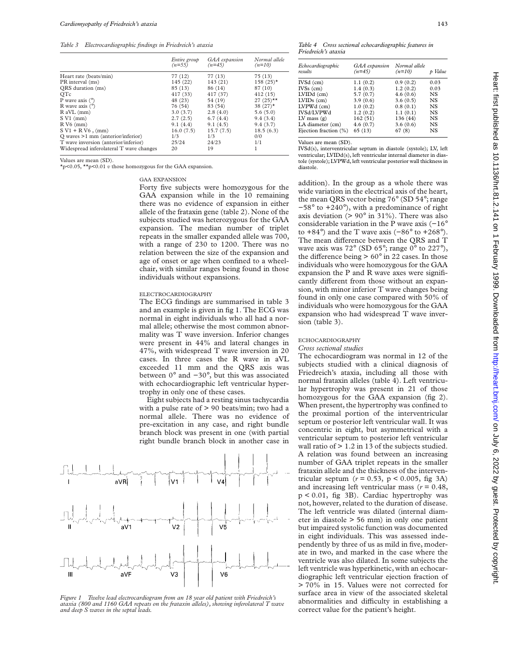*Table 3 Electrocardiographic findings in Friedreich's ataxia*

|                                         | Entire group<br>$(n=55)$ | GAA expansion<br>$(n=45)$ | Normal allele<br>$(n=10)$ |
|-----------------------------------------|--------------------------|---------------------------|---------------------------|
| Heart rate (beats/min)                  | 77 (12)                  | 77 (13)                   | 75(13)                    |
| PR interval (ms)                        | 145 (22)                 | 143(21)                   | $158(25)$ *               |
| QRS duration (ms)                       | 85(13)                   | 86 (14)                   | 87 (10)                   |
| <b>OTc</b>                              | 417 (33)                 | 417 (37)                  | 412(15)                   |
| P wave axis $(°)$                       | 48 (23)                  | 54 (19)                   | $27(25)$ **               |
| R wave axis $(°)$                       | 76 (54)                  | 83 (54)                   | 38 $(27)$ *               |
| $R$ aVL $(mm)$                          | 3.0(3.7)                 | 2.8(4.0)                  | 5.6(5.0)                  |
| $SVI$ (mm)                              | 2.7(2.5)                 | 6.7(4.4)                  | 9.4(3.4)                  |
| $R V6$ (mm)                             | 9.1(4.4)                 | 9.1(4.5)                  | 9.4(3.7)                  |
| $SVI + RV6$ , (mm)                      | 16.0(7.5)                | 15.7(7.5)                 | 18.5(6.3)                 |
| $Q$ waves $>1$ mm (anterior/inferior)   | 1/3                      | 1/3                       | 0/0                       |
| T wave inversion (anterior/inferior)    | 25/24                    | 24/23                     | 1/1                       |
| Widespread inferolateral T wave changes | 20                       | 19                        |                           |

Values are mean (SD).

\*p<0.05, \*\*p<0.01 *v* those homozygous for the GAA expansion.

GAA EXPANSION

Forty five subjects were homozygous for the GAA expansion while in the 10 remaining there was no evidence of expansion in either allele of the frataxin gene (table 2). None of the subjects studied was heterozygous for the GAA expansion. The median number of triplet repeats in the smaller expanded allele was 700, with a range of 230 to 1200. There was no relation between the size of the expansion and age of onset or age when confined to a wheelchair, with similar ranges being found in those individuals without expansions.

## ELECTROCARDIOGRAPHY

The ECG findings are summarised in table 3 and an example is given in fig 1. The ECG was normal in eight individuals who all had a normal allele; otherwise the most common abnormality was T wave inversion. Inferior changes were present in 44% and lateral changes in 47%, with widespread T wave inversion in 20 cases. In three cases the R wave in aVL exceeded 11 mm and the QRS axis was between 0° and −30°, but this was associated with echocardiographic left ventricular hypertrophy in only one of these cases.

Eight subjects had a resting sinus tachycardia with a pulse rate of  $> 90$  beats/min; two had a normal allele. There was no evidence of pre-excitation in any case, and right bundle branch block was present in one (with partial right bundle branch block in another case in



*Figure 1 Twelve lead electrocardiogram from an 18 year old patient with Friedreich's ataxia (800 and 1160 GAA repeats on the frataxin alleles), showing inferolateral T wave and deep S waves in the septal leads.*

| Table 4 Cross sectional echocardiographic features in |  |  |
|-------------------------------------------------------|--|--|
| Friedreich's ataxia                                   |  |  |

| Echocardiographic<br>results | GAA expansion<br>$(n=45)$ | Normal allele<br>$(n=10)$ | Value     |
|------------------------------|---------------------------|---------------------------|-----------|
| IVSd (cm)                    | 1.1(0.2)                  | 0.9(0.2)                  | 0.03      |
| $IVSs$ (cm)                  | 1.4(0.3)                  | 1.2(0.2)                  | 0.03      |
| LVIDd (cm)                   | 5.7(0.7)                  | 4.6(0.6)                  | <b>NS</b> |
| $LVIDs$ (cm)                 | 3.9(0.6)                  | 3.6(0.5)                  | <b>NS</b> |
| LVPWd (cm)                   | 1.0(0.2)                  | 0.8(0.1)                  | NS.       |
| IVSd/LVPWd                   | 1.2(0.2)                  | 1.1(0.1)                  | NS        |
| LV mass $(g)$                | 162(51)                   | 136 (44)                  | NS        |
| LA diameter (cm)             | 4.6(0.7)                  | 3.6(0.6)                  | NS.       |
| Ejection fraction (%)        | 65 (13)                   | 67(8)                     | NS.       |
|                              |                           |                           |           |

Values are mean (SD).

IVSd(s), interventricular septum in diastole (systole); LV, left ventricular; LVIDd(s), left ventricular internal diameter in diastole (systole); LVPWd, left ventricular posterior wall thickness in diastole.

addition). In the group as a whole there was wide variation in the electrical axis of the heart, the mean QRS vector being 76° (SD 54°; range −58° to +240°), with a predominance of right axis deviation ( $> 90^\circ$  in 31%). There was also considerable variation in the P wave axis (−16° to +84 $\degree$ ) and the T wave axis (−86 $\degree$  to +268 $\degree$ ). The mean difference between the QRS and T wave axis was 72° (SD 65°; range 0° to 227°), the difference being  $> 60^\circ$  in 22 cases. In those individuals who were homozygous for the GAA expansion the P and R wave axes were significantly different from those without an expansion, with minor inferior T wave changes being found in only one case compared with 50% of individuals who were homozygous for the GAA expansion who had widespread T wave inversion (table 3).

#### ECHOCARDIOGRAPHY

# *Cross sectional studies*

The echocardiogram was normal in 12 of the subjects studied with a clinical diagnosis of Friedreich's ataxia, including all those with normal frataxin alleles (table 4). Left ventricular hypertrophy was present in 21 of those homozygous for the GAA expansion (fig 2). When present, the hypertrophy was confined to the proximal portion of the interventricular septum or posterior left ventricular wall. It was concentric in eight, but asymmetrical with a ventricular septum to posterior left ventricular wall ratio of  $> 1.2$  in 13 of the subjects studied. A relation was found between an increasing number of GAA triplet repeats in the smaller frataxin allele and the thickness of the interventricular septum ( $r = 0.53$ ,  $p < 0.005$ , fig 3A) and increasing left ventricular mass (*r* = 0.48, p < 0.01, fig 3B). Cardiac hypertrophy was not, however, related to the duration of disease. The left ventricle was dilated (internal diameter in diastole > 56 mm) in only one patient but impaired systolic function was documented in eight individuals. This was assessed independently by three of us as mild in five, moderate in two, and marked in the case where the ventricle was also dilated. In some subjects the left ventricle was hyperkinetic, with an echocardiographic left ventricular ejection fraction of > 70% in 15. Values were not corrected for surface area in view of the associated skeletal abnormalities and difficulty in establishing a correct value for the patient's height.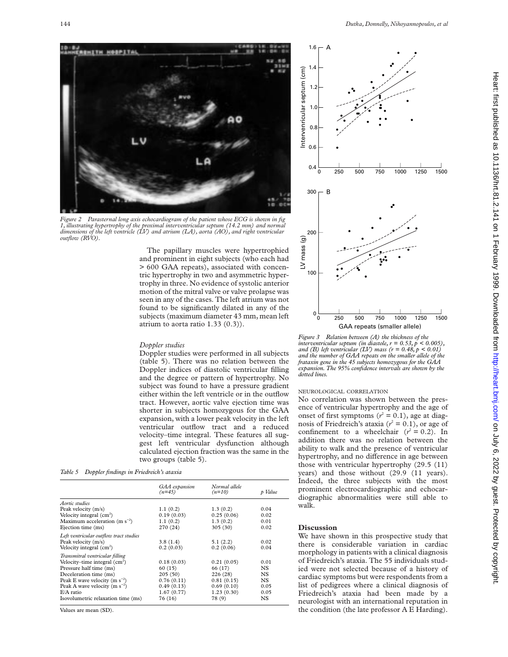

*Figure 2 Parasternal long axis echocardiogram of the patient whose ECG is shown in fig 1, illustrating hypertrophy of the proximal interventricular septum (14.2 mm) and normal dimensions of the left ventricle (LV) and atrium (LA), aorta (AO), and right ventricular outflow (RVO).*

The papillary muscles were hypertrophied and prominent in eight subjects (who each had > 600 GAA repeats), associated with concentric hypertrophy in two and asymmetric hypertrophy in three. No evidence of systolic anterior motion of the mitral valve or valve prolapse was seen in any of the cases. The left atrium was not found to be significantly dilated in any of the subjects (maximum diameter 43 mm, mean left atrium to aorta ratio 1.33 (0.3)).

# *Doppler studies*

Doppler studies were performed in all subjects (table 5). There was no relation between the Doppler indices of diastolic ventricular filling and the degree or pattern of hypertrophy. No subject was found to have a pressure gradient either within the left ventricle or in the outflow tract. However, aortic valve ejection time was shorter in subjects homozygous for the GAA expansion, with a lower peak velocity in the left ventricular outflow tract and a reduced velocity–time integral. These features all suggest left ventricular dysfunction although calculated ejection fraction was the same in the two groups (table 5).

*Table 5 Doppler findings in Friedreich's ataxia*

|                                        | GAA expansion<br>$(n=45)$ | Normal allele<br>$(n=10)$ | p Value |
|----------------------------------------|---------------------------|---------------------------|---------|
| Aortic studies                         |                           |                           |         |
|                                        |                           |                           |         |
| Peak velocity (m/s)                    | 1.1(0.2)                  | 1.3(0.2)                  | 0.04    |
| Velocity integral $(cm2)$              | 0.19(0.03)                | 0.25(0.06)                | 0.02    |
| Maximum acceleration (m $s^{-2}$ )     | 1.1(0.2)                  | 1.3(0.2)                  | 0.01    |
| Ejection time (ms)                     | 270 (24)                  | 305(30)                   | 0.02    |
| Left ventricular outflow tract studies |                           |                           |         |
| Peak velocity (m/s)                    | 3.8(1.4)                  | 5.1(2.2)                  | 0.02    |
| Velocity integral $(cm2)$              | 0.2(0.03)                 | 0.2(0.06)                 | 0.04    |
| Transmitral ventricular filling        |                           |                           |         |
| Velocity-time integral $(cm2)$         | 0.18(0.03)                | 0.21(0.05)                | 0.01    |
|                                        |                           |                           |         |
| Pressure half time (ms)                | 60(15)                    | 66 (17)                   | NS      |
| Deceleration time (ms)                 | 205(50)                   | 226(28)                   | NS      |
| Peak E wave velocity (m $s^{-2}$ )     | 0.76(0.11)                | 0.81(0.15)                | NS.     |
| Peak A wave velocity (m $s^{-2}$ )     | 0.49(0.13)                | 0.69(0.10)                | 0.05    |
| $E/A$ ratio                            | 1.67(0.77)                | 1.23(0.30)                | 0.05    |
| Isovolumetric relaxation time (ms)     | 76 (16)                   | 78 (9)                    | NS.     |

Values are mean (SD).



*Figure 3 Relation between (A) the thickness of the interventricular septum (in diastole, r = 0.53, p < 0.005), and (B) left ventricular (LV) mass (r = 0.48, p < 0.01) and the number of GAA repeats on the smaller allele of the frataxin gene in the 45 subjects homozygous for the GAA expansion. The 95% confidence intervals are shown by the dotted lines.*

## NEUROLOGICAL CORRELATION

No correlation was shown between the presence of ventricular hypertrophy and the age of onset of first symptoms  $(r^2 = 0.1)$ , age at diagnosis of Friedreich's ataxia  $(r^2 = 0.1)$ , or age of confinement to a wheelchair  $(r^2 = 0.2)$ . In addition there was no relation between the ability to walk and the presence of ventricular hypertrophy, and no difference in age between those with ventricular hypertrophy (29.5 (11) years) and those without (29.9 (11 years). Indeed, the three subjects with the most prominent electrocardiographic and echocardiographic abnormalities were still able to walk.

## **Discussion**

We have shown in this prospective study that there is considerable variation in cardiac morphology in patients with a clinical diagnosis of Friedreich's ataxia. The 55 individuals studied were not selected because of a history of cardiac symptoms but were respondents from a list of pedigrees where a clinical diagnosis of Friedreich's ataxia had been made by a neurologist with an international reputation in the condition (the late professor A E Harding).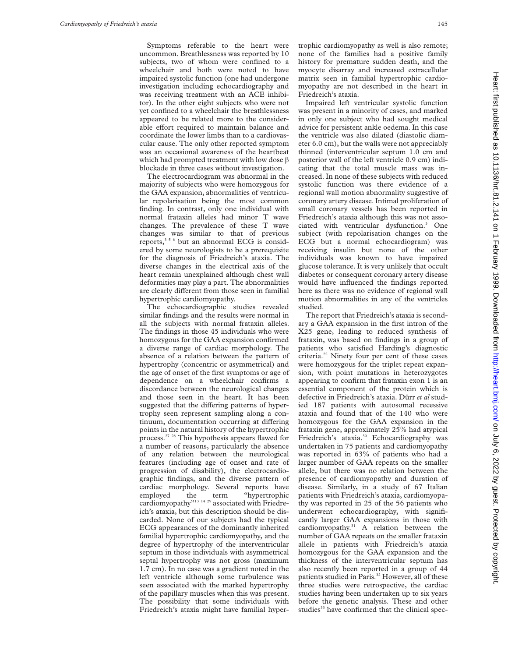Symptoms referable to the heart were uncommon. Breathlessness was reported by 10 subjects, two of whom were confined to a wheelchair and both were noted to have impaired systolic function (one had undergone investigation including echocardiography and was receiving treatment with an ACE inhibitor). In the other eight subjects who were not yet confined to a wheelchair the breathlessness appeared to be related more to the considerable effort required to maintain balance and coordinate the lower limbs than to a cardiovascular cause. The only other reported symptom was an occasional awareness of the heartbeat which had prompted treatment with low dose  $\beta$ blockade in three cases without investigation.

The electrocardiogram was abnormal in the majority of subjects who were homozygous for the GAA expansion, abnormalities of ventricular repolarisation being the most common finding. In contrast, only one individual with normal frataxin alleles had minor T wave changes. The prevalence of these T wave changes was similar to that of previous reports,356 but an abnormal ECG is considered by some neurologists to be a prerequisite for the diagnosis of Friedreich's ataxia. The diverse changes in the electrical axis of the heart remain unexplained although chest wall deformities may play a part. The abnormalities are clearly different from those seen in familial hypertrophic cardiomyopathy.

The echocardiographic studies revealed similar findings and the results were normal in all the subjects with normal frataxin alleles. The findings in those 45 individuals who were homozygous for the GAA expansion confirmed a diverse range of cardiac morphology. The absence of a relation between the pattern of hypertrophy (concentric or asymmetrical) and the age of onset of the first symptoms or age of dependence on a wheelchair confirms a discordance between the neurological changes and those seen in the heart. It has been suggested that the differing patterns of hypertrophy seen represent sampling along a continuum, documentation occurring at differing points in the natural history of the hypertrophic process.27 28 This hypothesis appears flawed for a number of reasons, particularly the absence of any relation between the neurological features (including age of onset and rate of progression of disability), the electrocardiographic findings, and the diverse pattern of cardiac morphology. Several reports have employed the term "hypertrophic cardiomyopathy"<sup>13 14 29</sup> associated with Friedreich's ataxia, but this description should be discarded. None of our subjects had the typical ECG appearances of the dominantly inherited familial hypertrophic cardiomyopathy, and the degree of hypertrophy of the interventricular septum in those individuals with asymmetrical septal hypertrophy was not gross (maximum 1.7 cm). In no case was a gradient noted in the left ventricle although some turbulence was seen associated with the marked hypertrophy of the papillary muscles when this was present. The possibility that some individuals with Friedreich's ataxia might have familial hypertrophic cardiomyopathy as well is also remote; none of the families had a positive family history for premature sudden death, and the myocyte disarray and increased extracellular matrix seen in familial hypertrophic cardiomyopathy are not described in the heart in Friedreich's ataxia.

Impaired left ventricular systolic function was present in a minority of cases, and marked in only one subject who had sought medical advice for persistent ankle oedema. In this case the ventricle was also dilated (diastolic diameter 6.0 cm), but the walls were not appreciably thinned (interventricular septum 1.0 cm and posterior wall of the left ventricle 0.9 cm) indicating that the total muscle mass was increased. In none of these subjects with reduced systolic function was there evidence of a regional wall motion abnormality suggestive of coronary artery disease. Intimal proliferation of small coronary vessels has been reported in Friedreich's ataxia although this was not associated with ventricular dysfunction.3 One subject (with repolarisation changes on the ECG but a normal echocardiogram) was receiving insulin but none of the other individuals was known to have impaired glucose tolerance. It is very unlikely that occult diabetes or consequent coronary artery disease would have influenced the findings reported here as there was no evidence of regional wall motion abnormalities in any of the ventricles studied.

The report that Friedreich's ataxia is secondary a GAA expansion in the first intron of the X25 gene, leading to reduced synthesis of frataxin, was based on findings in a group of patients who satisfied Harding's diagnostic criteria.<sup>22</sup> Ninety four per cent of these cases were homozygous for the triplet repeat expansion, with point mutations in heterozygotes appearing to confirm that frataxin exon 1 is an essential component of the protein which is defective in Friedreich's ataxia. Dürr *et al* studied 187 patients with autosomal recessive ataxia and found that of the 140 who were homozygous for the GAA expansion in the frataxin gene, approximately 25% had atypical Friedreich's ataxia.<sup>30</sup> Echocardiography was undertaken in 75 patients and cardiomyopathy was reported in 63% of patients who had a larger number of GAA repeats on the smaller allele, but there was no relation between the presence of cardiomyopathy and duration of disease. Similarly, in a study of 67 Italian patients with Friedreich's ataxia, cardiomyopathy was reported in 25 of the 56 patients who underwent echocardiography, with significantly larger GAA expansions in those with cardiomyopathy.<sup>31</sup> A relation between the number of GAA repeats on the smaller frataxin allele in patients with Friedreich's ataxia homozygous for the GAA expansion and the thickness of the interventricular septum has also recently been reported in a group of 44 patients studied in Paris.<sup>32</sup> However, all of these three studies were retrospective, the cardiac studies having been undertaken up to six years before the genetic analysis. These and other studies<sup>33</sup> have confirmed that the clinical spec-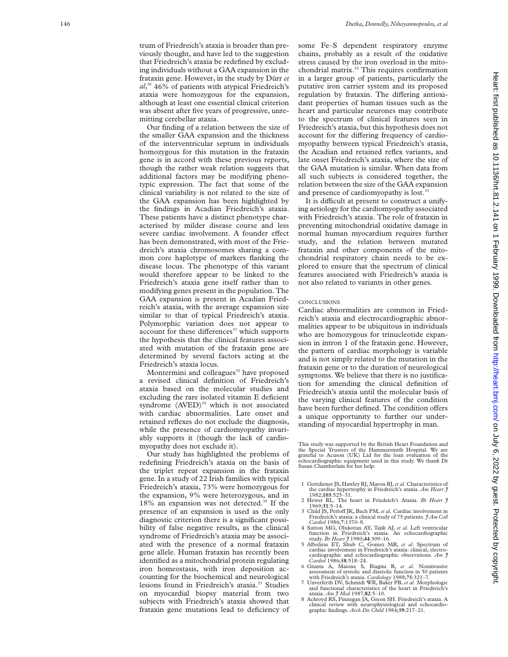Our finding of a relation between the size of the smaller GAA expansion and the thickness of the interventricular septum in individuals homozygous for this mutation in the frataxin gene is in accord with these previous reports, though the rather weak relation suggests that additional factors may be modifying phenotypic expression. The fact that some of the clinical variability is not related to the size of the GAA expansion has been highlighted by the findings in Acadian Friedreich's ataxia. These patients have a distinct phenotype characterised by milder disease course and less severe cardiac involvement. A founder effect has been demonstrated, with most of the Friedreich's ataxia chromosomes sharing a common core haplotype of markers flanking the disease locus. The phenotype of this variant would therefore appear to be linked to the Friedreich's ataxia gene itself rather than to modifying genes present in the population. The GAA expansion is present in Acadian Friedreich's ataxia, with the average expansion size similar to that of typical Friedreich's ataxia. Polymorphic variation does not appear to account for these differences<sup>33</sup> which supports the hypothesis that the clinical features associated with mutation of the frataxin gene are determined by several factors acting at the Friedreich's ataxia locus.

Montermini and colleagues<sup>33</sup> have proposed a revised clinical definition of Friedreich's ataxia based on the molecular studies and excluding the rare isolated vitamin E deficient syndrome  $(AVED)^{34}$  which is not associated with cardiac abnormalities. Late onset and retained reflexes do not exclude the diagnosis, while the presence of cardiomyopathy invariably supports it (though the lack of cardiomyopathy does not exclude it).

Our study has highlighted the problems of redefining Friedreich's ataxia on the basis of the triplet repeat expansion in the frataxin gene. In a study of 22 Irish families with typical Friedreich's ataxia, 73% were homozygous for the expansion, 9% were heterozygous, and in 18% an expansion was not detected.<sup>35</sup> If the presence of an expansion is used as the only diagnostic criterion there is a significant possibility of false negative results, as the clinical syndrome of Friedreich's ataxia may be associated with the presence of a normal frataxin gene allele. Human frataxin has recently been identified as a mitochondrial protein regulating iron homeostasis, with iron deposition accounting for the biochemical and neurological lesions found in Friedreich's ataxia.<sup>23</sup> Studies on myocardial biopsy material from two subjects with Friedreich's ataxia showed that frataxin gene mutations lead to deficiency of

some Fe–S dependent respiratory enzyme chains, probably as a result of the oxidative stress caused by the iron overload in the mitochondrial matrix.<sup>24</sup> This requires confirmation in a larger group of patients, particularly the putative iron carrier system and its proposed regulation by frataxin. The differing antioxidant properties of human tissues such as the heart and particular neurones may contribute to the spectrum of clinical features seen in Friedreich's ataxia, but this hypothesis does not account for the differing frequency of cardiomyopathy between typical Friedreich's ataxia, the Acadian and retained reflex variants, and late onset Friedreich's ataxia, where the size of the GAA mutation is similar. When data from all such subjects is considered together, the relation between the size of the GAA expansion and presence of cardiomyopathy is lost.<sup>3</sup>

It is difficult at present to construct a unifying aetiology for the cardiomyopathy associated with Friedreich's ataxia. The role of frataxin in preventing mitochondrial oxidative damage in normal human myocardium requires further study, and the relation between mutated frataxin and other components of the mitochondrial respiratory chain needs to be explored to ensure that the spectrum of clinical features associated with Friedreich's ataxia is not also related to variants in other genes.

#### **CONCLUSIONS**

Cardiac abnormalities are common in Friedreich's ataxia and electrocardiographic abnormalities appear to be ubiquitous in individuals who are homozygous for trinucleotide expansion in intron 1 of the frataxin gene. However, the pattern of cardiac morphology is variable and is not simply related to the mutation in the frataxin gene or to the duration of neurological symptoms. We believe that there is no justification for amending the clinical definition of Friedreich's ataxia until the molecular basis of the varying clinical features of the condition have been further defined. The condition offers a unique opportunity to further our understanding of myocardial hypertrophy in man.

This study was supported by the British Heart Foundation and the Special Trustees of the Hammersmith Hospital. We are grateful to Acuson (UK) Ltd for the loan evaluation of the echocardiographic equipment used in this study. We thank Dr Susan Chamberlain for her help.

- 1 Gottdiener JS, Hawley RJ, Maron BJ,*et al.* Characteristics of the cardiac hypertrophy in Friedreich's ataxia. *Am Heart J* 1982;**103**:525–31.
- 2 Hewer RL. The heart in Friedeich's Ataxia. *Br Heart J* 1969;**31**:5–14.
- 3 Child JS, Perloff JK, Bach PM, et al. Cardiac involvement in Friedreich's ataxia: a clinical study of 75 patients. *J Am Coll*
- *Cardiol* 1986; **7**:1370–8. 4 Sutton MG, Olukotun AY, Tajik AJ, *et al.* Left ventricular function in Friedreich's ataxia. An echocardiographic study. *Br Heart J* 1980;**44**:309–16.
- 5 Alboliras ET, Shub C, Gomez MR, *et al*. Spectrum of cardiac involvement in Friedreich's ataxia: clinical, electrocardiographic and echocardiographic observations. *Am J Cardiol* 1986;**58**:518–24.
- 6 Giunta A, Maione S, Biagini R, *et al.* Noninvasive assessment of systolic and diastolic function in 50 patients with Friedreich's ataxia. *Cardiology* 1988;**75**:321–7.
- 7 Unverferth DV, Schmidt WR, Baker PB, *et al.* Morphologic and functional characteristics of the heart in Friedreich's ataxia. *Am J Med* 1987;**82**:5–10.
- 8 Ackroyd RS, Finnegan JA, Green SH. Friedreich's ataxia. A clinical review with neurophysiological and echocardiographic findings. *Arch Dis Child* 1984;**59**:217–21.